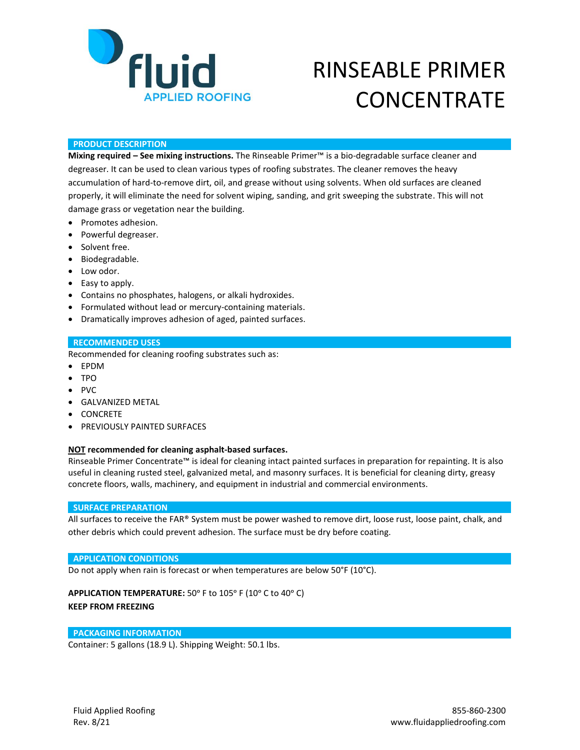

# RINSEABLE PRIMER **CONCENTRATE**

## **PRODUCT DESCRIPTION**

**Mixing required – See mixing instructions.** The Rinseable Primer™ is a bio-degradable surface cleaner and degreaser. It can be used to clean various types of roofing substrates. The cleaner removes the heavy accumulation of hard-to-remove dirt, oil, and grease without using solvents. When old surfaces are cleaned properly, it will eliminate the need for solvent wiping, sanding, and grit sweeping the substrate. This will not damage grass or vegetation near the building.

- Promotes adhesion.
- Powerful degreaser.
- Solvent free.
- Biodegradable.
- Low odor.
- Easy to apply.
- Contains no phosphates, halogens, or alkali hydroxides.
- Formulated without lead or mercury-containing materials.
- Dramatically improves adhesion of aged, painted surfaces.

## **RECOMMENDED USES**

Recommended for cleaning roofing substrates such as:

- EPDM
- TPO
- PVC
- GALVANIZED METAL
- CONCRETE
- PREVIOUSLY PAINTED SURFACES

## **NOT recommended for cleaning asphalt-based surfaces.**

Rinseable Primer Concentrate™ is ideal for cleaning intact painted surfaces in preparation for repainting. It is also useful in cleaning rusted steel, galvanized metal, and masonry surfaces. It is beneficial for cleaning dirty, greasy concrete floors, walls, machinery, and equipment in industrial and commercial environments.

### **SURFACE PREPARATION**

All surfaces to receive the FAR® System must be power washed to remove dirt, loose rust, loose paint, chalk, and other debris which could prevent adhesion. The surface must be dry before coating.

### **APPLICATION CONDITIONS**

Do not apply when rain is forecast or when temperatures are below 50°F (10°C).

# APPLICATION TEMPERATURE: 50° F to 105° F (10° C to 40° C) **KEEP FROM FREEZING**

## **PACKAGING INFORMATION**

Container: 5 gallons (18.9 L). Shipping Weight: 50.1 lbs.